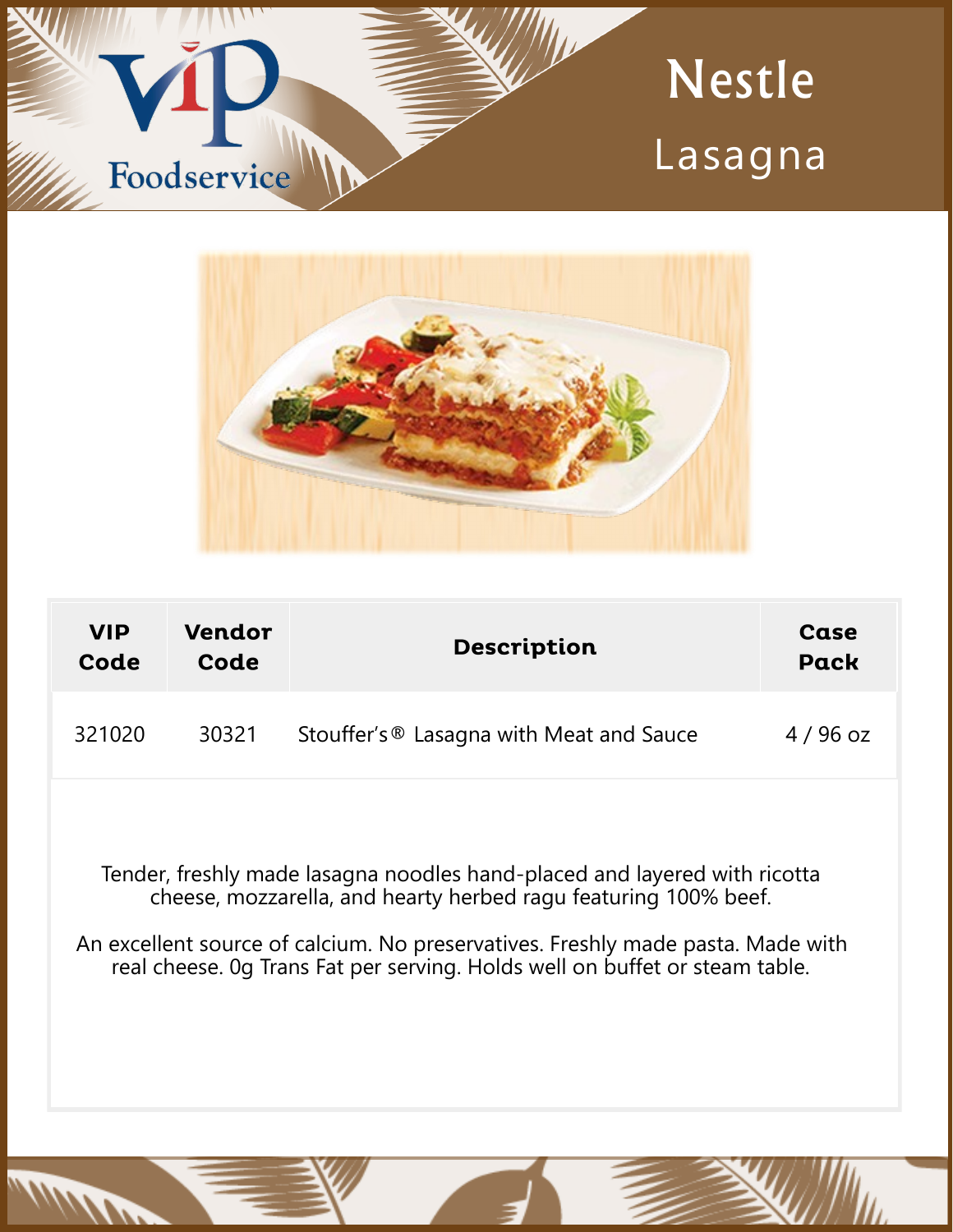



| <b>VIP</b><br>Code | Vendor<br>Code | <b>Description</b>                       | Case<br><b>Pack</b> |
|--------------------|----------------|------------------------------------------|---------------------|
| 321020             | 30321          | Stouffer's ® Lasagna with Meat and Sauce | $4/96$ oz           |
|                    |                |                                          |                     |

Tender, freshly made lasagna noodles hand-placed and layered with ricotta cheese, mozzarella, and hearty herbed ragu featuring 100% beef.

An excellent source of calcium. No preservatives. Freshly made pasta. Made with real cheese. 0g Trans Fat per serving. Holds well on buffet or steam table.